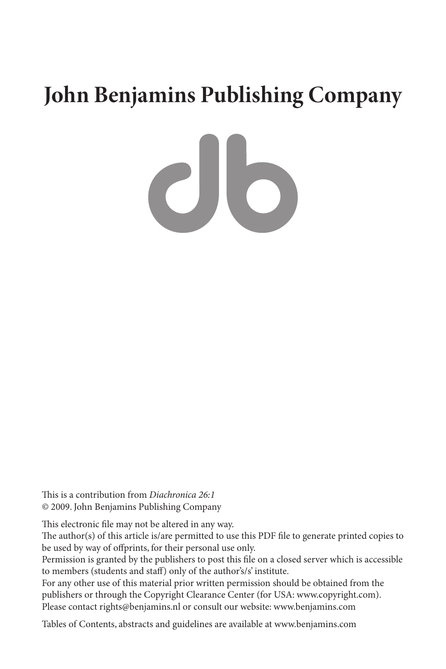## **John Benjamins Publishing Company**

 $c$ lo

This is a contribution from *Diachronica 26:1* © 2009. John Benjamins Publishing Company

This electronic file may not be altered in any way.

The author(s) of this article is/are permitted to use this PDF file to generate printed copies to be used by way of offprints, for their personal use only.

Permission is granted by the publishers to post this file on a closed server which is accessible to members (students and staff) only of the author's/s' institute.

For any other use of this material prior written permission should be obtained from the publishers or through the Copyright Clearance Center (for USA: www.copyright.com). Please contact rights@benjamins.nl or consult our website: www.benjamins.com

Tables of Contents, abstracts and guidelines are available at www.benjamins.com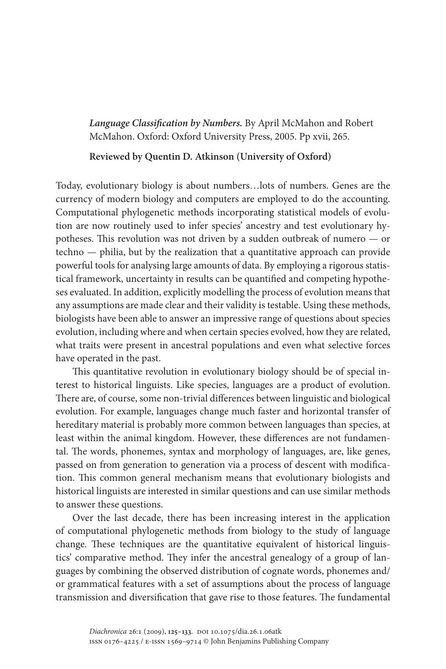*Language Classification by Numbers.* By April McMahon and Robert McMahon. Oxford: Oxford University Press, 2005. Pp xvii, 265.

## **Reviewed by Quentin D. Atkinson (University of Oxford)**

Today, evolutionary biology is about numbers…lots of numbers. Genes are the currency of modern biology and computers are employed to do the accounting. Computational phylogenetic methods incorporating statistical models of evolution are now routinely used to infer species' ancestry and test evolutionary hypotheses. This revolution was not driven by a sudden outbreak of numero — or techno — philia, but by the realization that a quantitative approach can provide powerful tools for analysing large amounts of data. By employing a rigorous statistical framework, uncertainty in results can be quantified and competing hypotheses evaluated. In addition, explicitly modelling the process of evolution means that any assumptions are made clear and their validity is testable. Using these methods, biologists have been able to answer an impressive range of questions about species evolution, including where and when certain species evolved, how they are related, what traits were present in ancestral populations and even what selective forces have operated in the past.

This quantitative revolution in evolutionary biology should be of special interest to historical linguists. Like species, languages are a product of evolution. There are, of course, some non-trivial differences between linguistic and biological evolution. For example, languages change much faster and horizontal transfer of hereditary material is probably more common between languages than species, at least within the animal kingdom. However, these differences are not fundamental. The words, phonemes, syntax and morphology of languages, are, like genes, passed on from generation to generation via a process of descent with modification. This common general mechanism means that evolutionary biologists and historical linguists are interested in similar questions and can use similar methods to answer these questions.

Over the last decade, there has been increasing interest in the application of computational phylogenetic methods from biology to the study of language change. These techniques are the quantitative equivalent of historical linguistics' comparative method. They infer the ancestral genealogy of a group of languages by combining the observed distribution of cognate words, phonemes and/ or grammatical features with a set of assumptions about the process of language transmission and diversification that gave rise to those features. The fundamental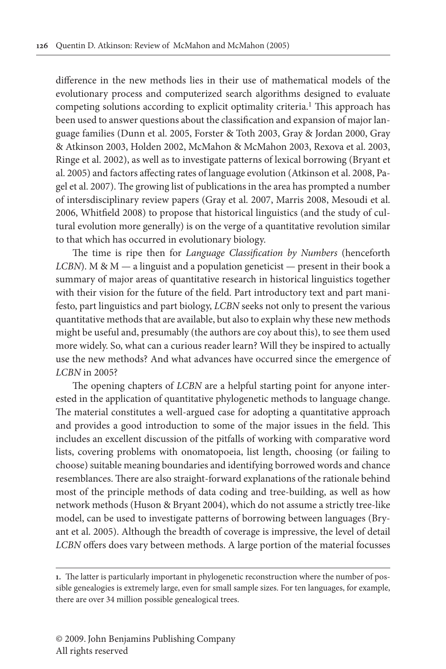difference in the new methods lies in their use of mathematical models of the evolutionary process and computerized search algorithms designed to evaluate competing solutions according to explicit optimality criteria.<sup>1</sup> This approach has been used to answer questions about the classification and expansion of major language families (Dunn et al. 2005, Forster & Toth 2003, Gray & Jordan 2000, Gray & Atkinson 2003, Holden 2002, McMahon & McMahon 2003, Rexova et al. 2003, Ringe et al. 2002), as well as to investigate patterns of lexical borrowing (Bryant et al. 2005) and factors affecting rates of language evolution (Atkinson et al. 2008, Pagel et al. 2007). The growing list of publications in the area has prompted a number of intersdisciplinary review papers (Gray et al. 2007, Marris 2008, Mesoudi et al. 2006, Whitfield 2008) to propose that historical linguistics (and the study of cultural evolution more generally) is on the verge of a quantitative revolution similar to that which has occurred in evolutionary biology.

The time is ripe then for *Language Classification by Numbers* (henceforth *LCBN*). M & M — a linguist and a population geneticist — present in their book a summary of major areas of quantitative research in historical linguistics together with their vision for the future of the field. Part introductory text and part manifesto, part linguistics and part biology, *LCBN* seeks not only to present the various quantitative methods that are available, but also to explain why these new methods might be useful and, presumably (the authors are coy about this), to see them used more widely. So, what can a curious reader learn? Will they be inspired to actually use the new methods? And what advances have occurred since the emergence of *LCBN* in 2005?

The opening chapters of *LCBN* are a helpful starting point for anyone interested in the application of quantitative phylogenetic methods to language change. The material constitutes a well-argued case for adopting a quantitative approach and provides a good introduction to some of the major issues in the field. This includes an excellent discussion of the pitfalls of working with comparative word lists, covering problems with onomatopoeia, list length, choosing (or failing to choose) suitable meaning boundaries and identifying borrowed words and chance resemblances. There are also straight-forward explanations of the rationale behind most of the principle methods of data coding and tree-building, as well as how network methods (Huson & Bryant 2004), which do not assume a strictly tree-like model, can be used to investigate patterns of borrowing between languages (Bryant et al. 2005). Although the breadth of coverage is impressive, the level of detail *LCBN* offers does vary between methods. A large portion of the material focusses

**<sup>1.</sup>** The latter is particularly important in phylogenetic reconstruction where the number of possible genealogies is extremely large, even for small sample sizes. For ten languages, for example, there are over 34 million possible genealogical trees.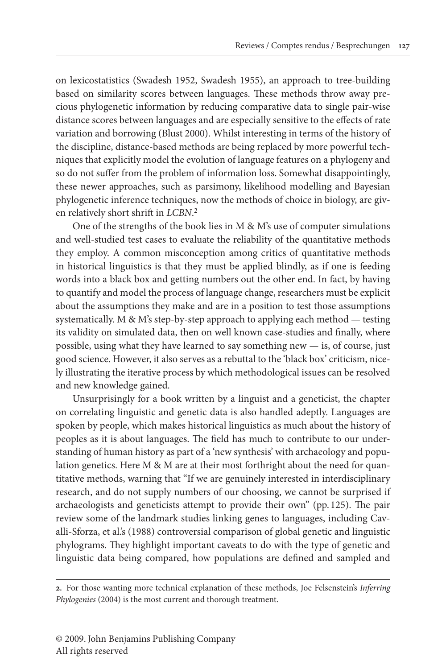on lexicostatistics (Swadesh 1952, Swadesh 1955), an approach to tree-building based on similarity scores between languages. These methods throw away precious phylogenetic information by reducing comparative data to single pair-wise distance scores between languages and are especially sensitive to the effects of rate variation and borrowing (Blust 2000). Whilst interesting in terms of the history of the discipline, distance-based methods are being replaced by more powerful techniques that explicitly model the evolution of language features on a phylogeny and so do not suffer from the problem of information loss. Somewhat disappointingly, these newer approaches, such as parsimony, likelihood modelling and Bayesian phylogenetic inference techniques, now the methods of choice in biology, are given relatively short shrift in *LCBN*. 2

One of the strengths of the book lies in M & M's use of computer simulations and well-studied test cases to evaluate the reliability of the quantitative methods they employ. A common misconception among critics of quantitative methods in historical linguistics is that they must be applied blindly, as if one is feeding words into a black box and getting numbers out the other end. In fact, by having to quantify and model the process of language change, researchers must be explicit about the assumptions they make and are in a position to test those assumptions systematically. M & M's step-by-step approach to applying each method — testing its validity on simulated data, then on well known case-studies and finally, where possible, using what they have learned to say something new — is, of course, just good science. However, it also serves as a rebuttal to the 'black box' criticism, nicely illustrating the iterative process by which methodological issues can be resolved and new knowledge gained.

Unsurprisingly for a book written by a linguist and a geneticist, the chapter on correlating linguistic and genetic data is also handled adeptly. Languages are spoken by people, which makes historical linguistics as much about the history of peoples as it is about languages. The field has much to contribute to our understanding of human history as part of a 'new synthesis' with archaeology and population genetics. Here M & M are at their most forthright about the need for quantitative methods, warning that "If we are genuinely interested in interdisciplinary research, and do not supply numbers of our choosing, we cannot be surprised if archaeologists and geneticists attempt to provide their own" (pp. 125). The pair review some of the landmark studies linking genes to languages, including Cavalli-Sforza, et al.'s (1988) controversial comparison of global genetic and linguistic phylograms. They highlight important caveats to do with the type of genetic and linguistic data being compared, how populations are defined and sampled and

**<sup>2.</sup>** For those wanting more technical explanation of these methods, Joe Felsenstein's *Inferring Phylogenies* (2004) is the most current and thorough treatment.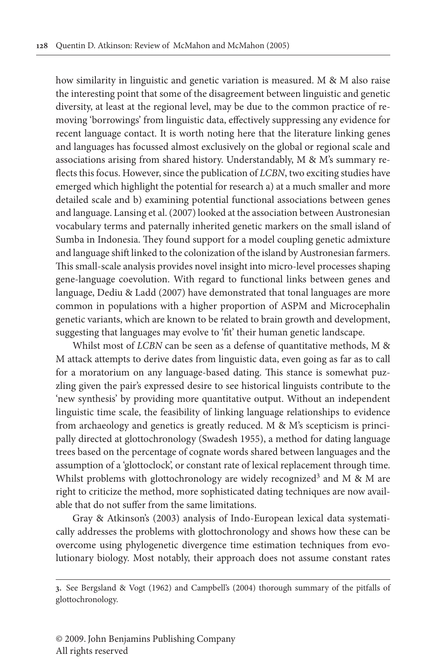how similarity in linguistic and genetic variation is measured. M & M also raise the interesting point that some of the disagreement between linguistic and genetic diversity, at least at the regional level, may be due to the common practice of removing 'borrowings' from linguistic data, effectively suppressing any evidence for recent language contact. It is worth noting here that the literature linking genes and languages has focussed almost exclusively on the global or regional scale and associations arising from shared history. Understandably, M & M's summary reflects this focus. However, since the publication of *LCBN*, two exciting studies have emerged which highlight the potential for research a) at a much smaller and more detailed scale and b) examining potential functional associations between genes and language. Lansing et al. (2007) looked at the association between Austronesian vocabulary terms and paternally inherited genetic markers on the small island of Sumba in Indonesia. They found support for a model coupling genetic admixture and language shift linked to the colonization of the island by Austronesian farmers. This small-scale analysis provides novel insight into micro-level processes shaping gene-language coevolution. With regard to functional links between genes and language, Dediu & Ladd (2007) have demonstrated that tonal languages are more common in populations with a higher proportion of ASPM and Microcephalin genetic variants, which are known to be related to brain growth and development, suggesting that languages may evolve to 'fit' their human genetic landscape.

Whilst most of *LCBN* can be seen as a defense of quantitative methods, M & M attack attempts to derive dates from linguistic data, even going as far as to call for a moratorium on any language-based dating. This stance is somewhat puzzling given the pair's expressed desire to see historical linguists contribute to the 'new synthesis' by providing more quantitative output. Without an independent linguistic time scale, the feasibility of linking language relationships to evidence from archaeology and genetics is greatly reduced. M & M's scepticism is principally directed at glottochronology (Swadesh 1955), a method for dating language trees based on the percentage of cognate words shared between languages and the assumption of a 'glottoclock', or constant rate of lexical replacement through time. Whilst problems with glottochronology are widely recognized<sup>3</sup> and M & M are right to criticize the method, more sophisticated dating techniques are now available that do not suffer from the same limitations.

Gray & Atkinson's (2003) analysis of Indo-European lexical data systematically addresses the problems with glottochronology and shows how these can be overcome using phylogenetic divergence time estimation techniques from evolutionary biology. Most notably, their approach does not assume constant rates

**<sup>3.</sup>** See Bergsland & Vogt (1962) and Campbell's (2004) thorough summary of the pitfalls of glottochronology.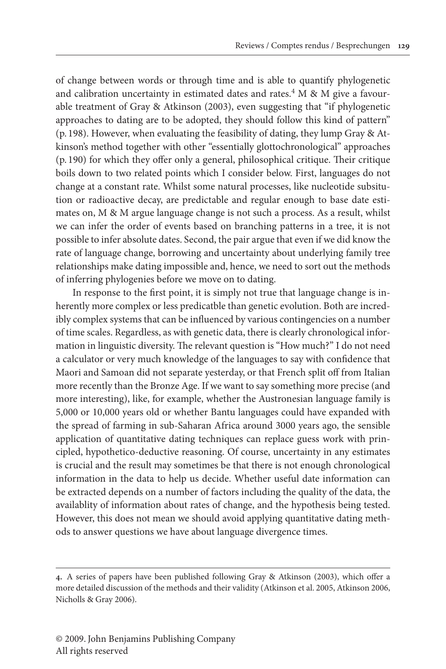of change between words or through time and is able to quantify phylogenetic and calibration uncertainty in estimated dates and rates.<sup>4</sup> M & M give a favourable treatment of Gray & Atkinson (2003), even suggesting that "if phylogenetic approaches to dating are to be adopted, they should follow this kind of pattern" (p. 198). However, when evaluating the feasibility of dating, they lump Gray & Atkinson's method together with other "essentially glottochronological" approaches (p. 190) for which they offer only a general, philosophical critique. Their critique boils down to two related points which I consider below. First, languages do not change at a constant rate. Whilst some natural processes, like nucleotide subsitution or radioactive decay, are predictable and regular enough to base date estimates on, M & M argue language change is not such a process. As a result, whilst we can infer the order of events based on branching patterns in a tree, it is not possible to infer absolute dates. Second, the pair argue that even if we did know the rate of language change, borrowing and uncertainty about underlying family tree relationships make dating impossible and, hence, we need to sort out the methods of inferring phylogenies before we move on to dating.

In response to the first point, it is simply not true that language change is inherently more complex or less predicatble than genetic evolution. Both are incredibly complex systems that can be influenced by various contingencies on a number of time scales. Regardless, as with genetic data, there is clearly chronological information in linguistic diversity. The relevant question is "How much?" I do not need a calculator or very much knowledge of the languages to say with confidence that Maori and Samoan did not separate yesterday, or that French split off from Italian more recently than the Bronze Age. If we want to say something more precise (and more interesting), like, for example, whether the Austronesian language family is 5,000 or 10,000 years old or whether Bantu languages could have expanded with the spread of farming in sub-Saharan Africa around 3000 years ago, the sensible application of quantitative dating techniques can replace guess work with principled, hypothetico-deductive reasoning. Of course, uncertainty in any estimates is crucial and the result may sometimes be that there is not enough chronological information in the data to help us decide. Whether useful date information can be extracted depends on a number of factors including the quality of the data, the availablity of information about rates of change, and the hypothesis being tested. However, this does not mean we should avoid applying quantitative dating methods to answer questions we have about language divergence times.

**<sup>4.</sup>** A series of papers have been published following Gray & Atkinson (2003), which offer a more detailed discussion of the methods and their validity (Atkinson et al. 2005, Atkinson 2006, Nicholls & Gray 2006).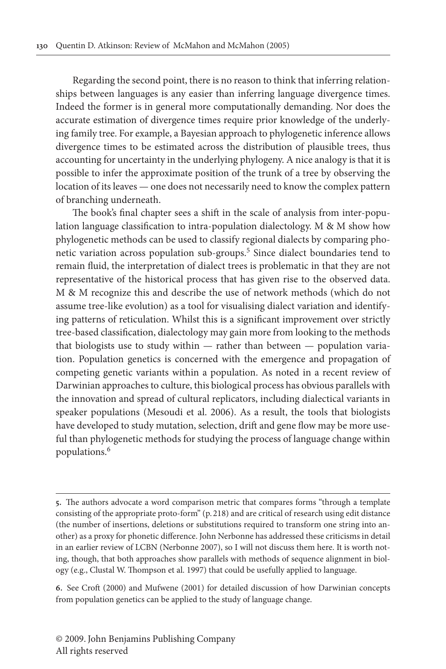Regarding the second point, there is no reason to think that inferring relationships between languages is any easier than inferring language divergence times. Indeed the former is in general more computationally demanding. Nor does the accurate estimation of divergence times require prior knowledge of the underlying family tree. For example, a Bayesian approach to phylogenetic inference allows divergence times to be estimated across the distribution of plausible trees, thus accounting for uncertainty in the underlying phylogeny. A nice analogy is that it is possible to infer the approximate position of the trunk of a tree by observing the location of its leaves — one does not necessarily need to know the complex pattern of branching underneath.

The book's final chapter sees a shift in the scale of analysis from inter-population language classification to intra-population dialectology. M & M show how phylogenetic methods can be used to classify regional dialects by comparing phonetic variation across population sub-groups.<sup>5</sup> Since dialect boundaries tend to remain fluid, the interpretation of dialect trees is problematic in that they are not representative of the historical process that has given rise to the observed data. M & M recognize this and describe the use of network methods (which do not assume tree-like evolution) as a tool for visualising dialect variation and identifying patterns of reticulation. Whilst this is a significant improvement over strictly tree-based classification, dialectology may gain more from looking to the methods that biologists use to study within — rather than between — population variation. Population genetics is concerned with the emergence and propagation of competing genetic variants within a population. As noted in a recent review of Darwinian approaches to culture, this biological process has obvious parallels with the innovation and spread of cultural replicators, including dialectical variants in speaker populations (Mesoudi et al. 2006). As a result, the tools that biologists have developed to study mutation, selection, drift and gene flow may be more useful than phylogenetic methods for studying the process of language change within populations.6

**<sup>5.</sup>** The authors advocate a word comparison metric that compares forms "through a template consisting of the appropriate proto-form" (p. 218) and are critical of research using edit distance (the number of insertions, deletions or substitutions required to transform one string into another) as a proxy for phonetic difference. John Nerbonne has addressed these criticisms in detail in an earlier review of LCBN (Nerbonne 2007), so I will not discuss them here. It is worth noting, though, that both approaches show parallels with methods of sequence alignment in biology (e.g., Clustal W. Thompson et al. 1997) that could be usefully applied to language.

**<sup>6.</sup>** See Croft (2000) and Mufwene (2001) for detailed discussion of how Darwinian concepts from population genetics can be applied to the study of language change.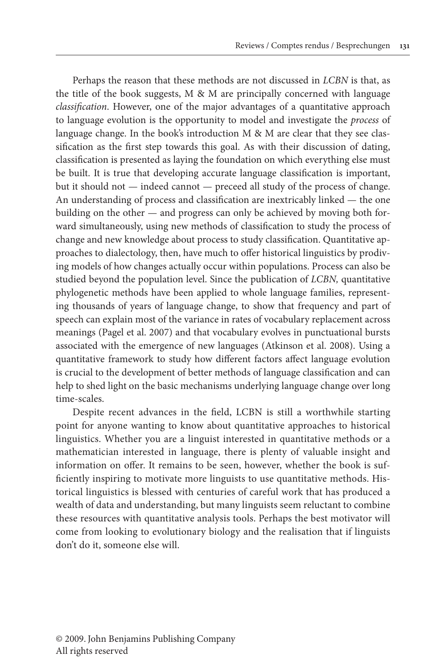Perhaps the reason that these methods are not discussed in *LCBN* is that, as the title of the book suggests, M & M are principally concerned with language *classification*. However, one of the major advantages of a quantitative approach to language evolution is the opportunity to model and investigate the *process* of language change. In the book's introduction M & M are clear that they see classification as the first step towards this goal. As with their discussion of dating, classification is presented as laying the foundation on which everything else must be built. It is true that developing accurate language classification is important, but it should not — indeed cannot — preceed all study of the process of change. An understanding of process and classification are inextricably linked — the one building on the other — and progress can only be achieved by moving both forward simultaneously, using new methods of classification to study the process of change and new knowledge about process to study classification. Quantitative approaches to dialectology, then, have much to offer historical linguistics by prodiving models of how changes actually occur within populations. Process can also be studied beyond the population level. Since the publication of *LCBN,* quantitative phylogenetic methods have been applied to whole language families, representing thousands of years of language change, to show that frequency and part of speech can explain most of the variance in rates of vocabulary replacement across meanings (Pagel et al. 2007) and that vocabulary evolves in punctuational bursts associated with the emergence of new languages (Atkinson et al. 2008). Using a quantitative framework to study how different factors affect language evolution is crucial to the development of better methods of language classification and can help to shed light on the basic mechanisms underlying language change over long time-scales.

Despite recent advances in the field, LCBN is still a worthwhile starting point for anyone wanting to know about quantitative approaches to historical linguistics. Whether you are a linguist interested in quantitative methods or a mathematician interested in language, there is plenty of valuable insight and information on offer. It remains to be seen, however, whether the book is sufficiently inspiring to motivate more linguists to use quantitative methods. Historical linguistics is blessed with centuries of careful work that has produced a wealth of data and understanding, but many linguists seem reluctant to combine these resources with quantitative analysis tools. Perhaps the best motivator will come from looking to evolutionary biology and the realisation that if linguists don't do it, someone else will.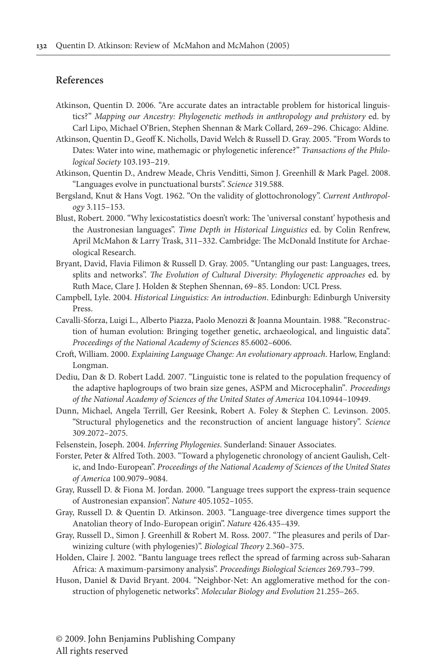## **References**

- Atkinson, Quentin D. 2006. "Are accurate dates an intractable problem for historical linguistics?" *Mapping our Ancestry: Phylogenetic methods in anthropology and prehistory* ed. by Carl Lipo, Michael O'Brien, Stephen Shennan & Mark Collard, 269–296. Chicago: Aldine.
- Atkinson, Quentin D., Geoff K. Nicholls, David Welch & Russell D. Gray. 2005. "From Words to Dates: Water into wine, mathemagic or phylogenetic inference?" *Transactions of the Philological Society* 103.193–219.
- Atkinson, Quentin D., Andrew Meade, Chris Venditti, Simon J. Greenhill & Mark Pagel. 2008. "Languages evolve in punctuational bursts". *Science* 319.588.
- Bergsland, Knut & Hans Vogt. 1962. "On the validity of glottochronology". *Current Anthropology* 3.115–153.
- Blust, Robert. 2000. "Why lexicostatistics doesn't work: The 'universal constant' hypothesis and the Austronesian languages". *Time Depth in Historical Linguistics* ed. by Colin Renfrew, April McMahon & Larry Trask, 311–332. Cambridge: The McDonald Institute for Archaeological Research.
- Bryant, David, Flavia Filimon & Russell D. Gray. 2005. "Untangling our past: Languages, trees, splits and networks". *The Evolution of Cultural Diversity: Phylogenetic approaches* ed. by Ruth Mace, Clare J. Holden & Stephen Shennan, 69–85. London: UCL Press.
- Campbell, Lyle. 2004. *Historical Linguistics: An introduction*. Edinburgh: Edinburgh University Press.
- Cavalli-Sforza, Luigi L., Alberto Piazza, Paolo Menozzi & Joanna Mountain. 1988. "Reconstruction of human evolution: Bringing together genetic, archaeological, and linguistic data". *Proceedings of the National Academy of Sciences* 85.6002–6006.
- Croft, William. 2000. *Explaining Language Change: An evolutionary approach*. Harlow, England: Longman.
- Dediu, Dan & D. Robert Ladd. 2007. "Linguistic tone is related to the population frequency of the adaptive haplogroups of two brain size genes, ASPM and Microcephalin"*. Proceedings of the National Academy of Sciences of the United States of America* 104.10944–10949.
- Dunn, Michael, Angela Terrill, Ger Reesink, Robert A. Foley & Stephen C. Levinson. 2005. "Structural phylogenetics and the reconstruction of ancient language history". *Science* 309.2072–2075.
- Felsenstein, Joseph. 2004. *Inferring Phylogenies*. Sunderland: Sinauer Associates.
- Forster, Peter & Alfred Toth. 2003. "Toward a phylogenetic chronology of ancient Gaulish, Celtic, and Indo-European". *Proceedings of the National Academy of Sciences of the United States of America* 100.9079–9084.
- Gray, Russell D. & Fiona M. Jordan. 2000. "Language trees support the express-train sequence of Austronesian expansion". *Nature* 405.1052–1055.
- Gray, Russell D. & Quentin D. Atkinson. 2003. "Language-tree divergence times support the Anatolian theory of Indo-European origin". *Nature* 426.435–439.
- Gray, Russell D., Simon J. Greenhill & Robert M. Ross. 2007. "The pleasures and perils of Darwinizing culture (with phylogenies)". *Biological Theory* 2.360–375.
- Holden, Claire J. 2002. "Bantu language trees reflect the spread of farming across sub-Saharan Africa: A maximum-parsimony analysis". *Proceedings Biological Sciences* 269.793–799.
- Huson, Daniel & David Bryant. 2004. "Neighbor-Net: An agglomerative method for the construction of phylogenetic networks". *Molecular Biology and Evolution* 21.255–265.

© 2009. John Benjamins Publishing Company All rights reserved